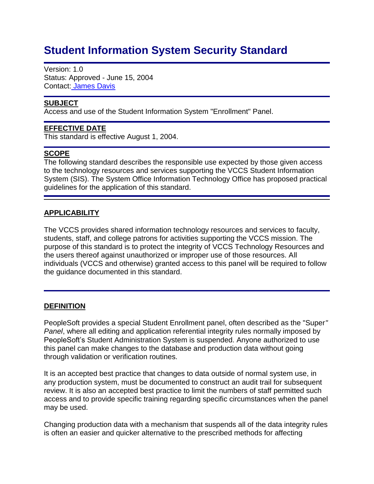# **Student Information System Security Standard**

Version: 1.0 Status: Approved - June 15, 2004 Contact: [James Davis](mailto:jdavis@vccs.edu)

## **SUBJECT**

Access and use of the Student Information System "Enrollment" Panel.

#### **EFFECTIVE DATE**

This standard is effective August 1, 2004.

### **SCOPE**

The following standard describes the responsible use expected by those given access to the technology resources and services supporting the VCCS Student Information System (SIS). The System Office Information Technology Office has proposed practical guidelines for the application of this standard.

## **APPLICABILITY**

The VCCS provides shared information technology resources and services to faculty, students, staff, and college patrons for activities supporting the VCCS mission. The purpose of this standard is to protect the integrity of VCCS Technology Resources and the users thereof against unauthorized or improper use of those resources. All individuals (VCCS and otherwise) granted access to this panel will be required to follow the guidance documented in this standard.

### **DEFINITION**

PeopleSoft provides a special Student Enrollment panel, often described as the "Super*" Panel*, where all editing and application referential integrity rules normally imposed by PeopleSoft's Student Administration System is suspended. Anyone authorized to use this panel can make changes to the database and production data without going through validation or verification routines.

It is an accepted best practice that changes to data outside of normal system use, in any production system, must be documented to construct an audit trail for subsequent review. It is also an accepted best practice to limit the numbers of staff permitted such access and to provide specific training regarding specific circumstances when the panel may be used.

Changing production data with a mechanism that suspends all of the data integrity rules is often an easier and quicker alternative to the prescribed methods for affecting